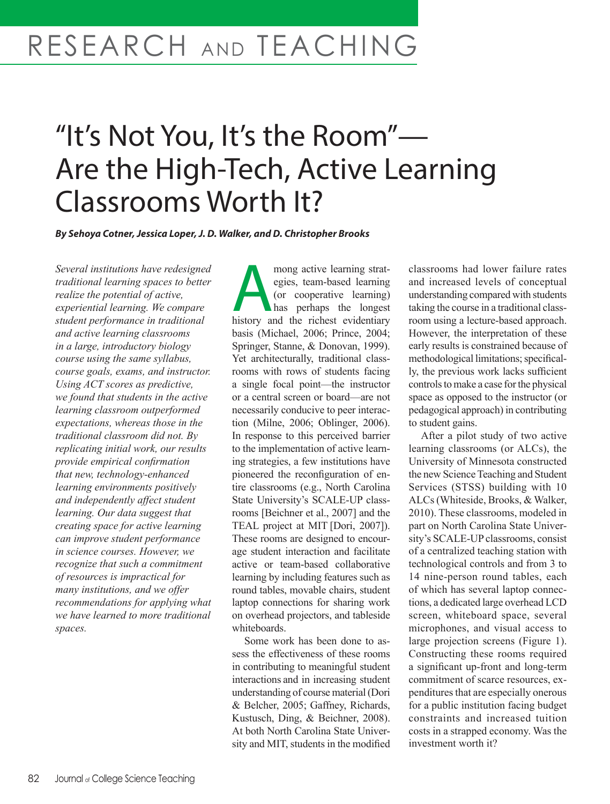# RESEARCH AND TEACHING

# "It's Not You, It's the Room"— Are the High-Tech, Active Learning Classrooms Worth It?

*By Sehoya Cotner, Jessica Loper, J. D. Walker, and D. Christopher Brooks*

*Several institutions have redesigned traditional learning spaces to better realize the potential of active, experiential learning. We compare student performance in traditional and active learning classrooms in a large, introductory biology course using the same syllabus, course goals, exams, and instructor. Using ACT scores as predictive, we found that students in the active learning classroom outperformed expectations, whereas those in the traditional classroom did not. By replicating initial work, our results provide empirical confirmation that new, technology-enhanced learning environments positively and independently affect student learning. Our data suggest that creating space for active learning can improve student performance in science courses. However, we recognize that such a commitment of resources is impractical for many institutions, and we offer recommendations for applying what we have learned to more traditional spaces.*

mong active learning strat-<br>
egies, team-based learning<br>
(or cooperative learning)<br>
has perhaps the longest<br>
history and the richest evidentiary egies, team-based learning (or cooperative learning) has perhaps the longest basis (Michael, 2006; Prince, 2004; Springer, Stanne, & Donovan, 1999). Yet architecturally, traditional classrooms with rows of students facing a single focal point—the instructor or a central screen or board—are not necessarily conducive to peer interaction (Milne, 2006; Oblinger, 2006). In response to this perceived barrier to the implementation of active learning strategies, a few institutions have pioneered the reconfiguration of entire classrooms (e.g., North Carolina State University's SCALE-UP classrooms [Beichner et al., 2007] and the TEAL project at MIT [Dori, 2007]). These rooms are designed to encourage student interaction and facilitate active or team-based collaborative learning by including features such as round tables, movable chairs, student laptop connections for sharing work on overhead projectors, and tableside whiteboards.

Some work has been done to assess the effectiveness of these rooms in contributing to meaningful student interactions and in increasing student understanding of course material (Dori & Belcher, 2005; Gaffney, Richards, Kustusch, Ding, & Beichner, 2008). At both North Carolina State University and MIT, students in the modified classrooms had lower failure rates and increased levels of conceptual understanding compared with students taking the course in a traditional classroom using a lecture-based approach. However, the interpretation of these early results is constrained because of methodological limitations; specifically, the previous work lacks sufficient controls to make a case for the physical space as opposed to the instructor (or pedagogical approach) in contributing to student gains.

After a pilot study of two active learning classrooms (or ALCs), the University of Minnesota constructed the new Science Teaching and Student Services (STSS) building with 10 ALCs (Whiteside, Brooks, & Walker, 2010). These classrooms, modeled in part on North Carolina State University's SCALE-UP classrooms, consist of a centralized teaching station with technological controls and from 3 to 14 nine-person round tables, each of which has several laptop connections, a dedicated large overhead LCD screen, whiteboard space, several microphones, and visual access to large projection screens (Figure 1). Constructing these rooms required a significant up-front and long-term commitment of scarce resources, expenditures that are especially onerous for a public institution facing budget constraints and increased tuition costs in a strapped economy. Was the investment worth it?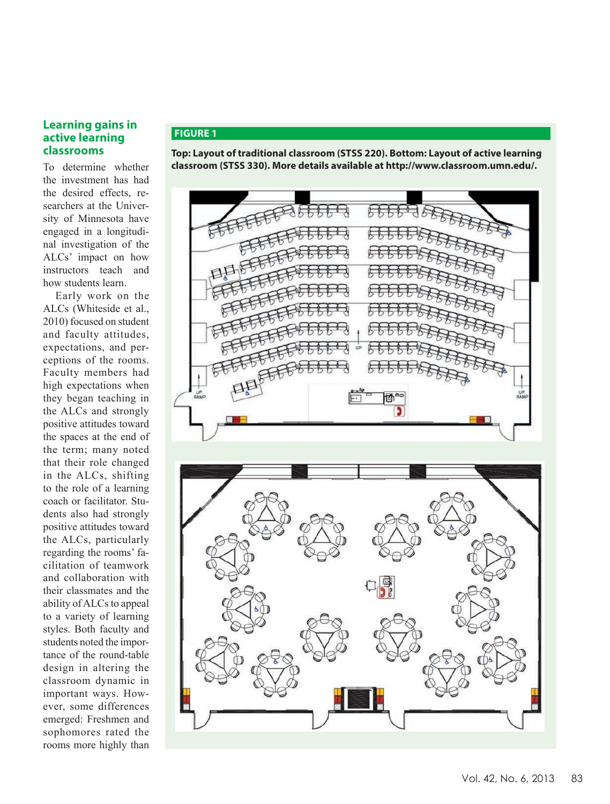### **Learning gains in active learning classrooms**

To determine whether the investment has had the desired effects, researchers at the University of Minnesota have engaged in a longitudinal investigation of the ALCs' impact on how instructors teach and how students learn.

Early work on the ALCs (Whiteside et al., 2010) focused on student and faculty attitudes, expectations, and perceptions of the rooms. Faculty members had high expectations when they began teaching in the ALCs and strongly positive attitudes toward the spaces at the end of the term; many noted that their role changed in the ALCs, shifting to the role of a learning coach or facilitator. Students also had strongly positive attitudes toward the ALCs, particularly regarding the rooms' facilitation of teamwork and collaboration with their classmates and the ability of ALCs to appeal to a variety of learning styles. Both faculty and students noted the importance of the round-table design in altering the classroom dynamic in important ways. However, some differences emerged: Freshmen and sophomores rated the rooms more highly than

## **FIGURE 1**

**Top: Layout of traditional classroom (STSS 220). Bottom: Layout of active learning classroom (STSS 330). More details available at http://www.classroom.umn.edu/.**

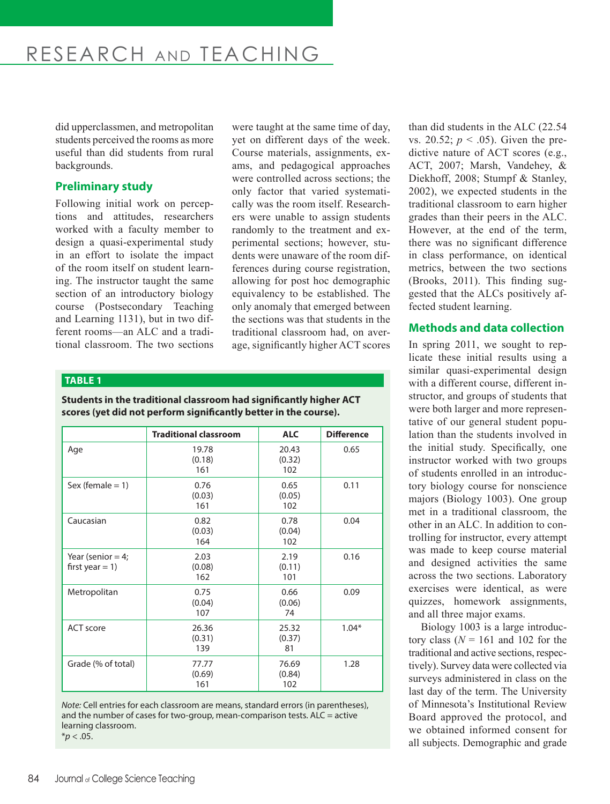research and teaching

did upperclassmen, and metropolitan students perceived the rooms as more useful than did students from rural backgrounds.

# **Preliminary study**

Following initial work on perceptions and attitudes, researchers worked with a faculty member to design a quasi-experimental study in an effort to isolate the impact of the room itself on student learning. The instructor taught the same section of an introductory biology course (Postsecondary Teaching and Learning 1131), but in two different rooms—an ALC and a traditional classroom. The two sections

were taught at the same time of day, yet on different days of the week. Course materials, assignments, exams, and pedagogical approaches were controlled across sections; the only factor that varied systematically was the room itself. Researchers were unable to assign students randomly to the treatment and experimental sections; however, students were unaware of the room differences during course registration, allowing for post hoc demographic equivalency to be established. The only anomaly that emerged between the sections was that students in the traditional classroom had, on average, significantly higher ACT scores

#### **TABLE 1**

**Students in the traditional classroom had significantly higher ACT scores (yet did not perform significantly better in the course).**

|                                           | <b>Traditional classroom</b>                     | <b>ALC</b>             | <b>Difference</b> |
|-------------------------------------------|--------------------------------------------------|------------------------|-------------------|
| Age                                       | 19.78<br>20.43<br>(0.18)<br>(0.32)<br>161<br>102 |                        | 0.65              |
| Sex (female $= 1$ )                       | 0.76<br>(0.03)<br>161                            | 0.65<br>(0.05)<br>102  | 0.11              |
| Caucasian                                 | 0.82<br>(0.03)<br>164                            | 0.78<br>(0.04)<br>102  | 0.04              |
| Year (senior $=$ 4;<br>first year $= 1$ ) | 2.03<br>(0.08)<br>162                            | 2.19<br>(0.11)<br>101  | 0.16              |
| Metropolitan                              | 0.75<br>(0.04)<br>107                            | 0.66<br>(0.06)<br>74   | 0.09              |
| <b>ACT</b> score                          | 26.36<br>(0.31)<br>139                           | 25.32<br>(0.37)<br>81  | $1.04*$           |
| Grade (% of total)                        | 77.77<br>(0.69)<br>161                           | 76.69<br>(0.84)<br>102 | 1.28              |

*Note:* Cell entries for each classroom are means, standard errors (in parentheses), and the number of cases for two-group, mean-comparison tests. ALC = active learning classroom.  $*$ *p* < .05.

than did students in the ALC (22.54 vs. 20.52;  $p < .05$ ). Given the predictive nature of ACT scores (e.g., ACT, 2007; Marsh, Vandehey, & Diekhoff, 2008; Stumpf & Stanley, 2002), we expected students in the traditional classroom to earn higher grades than their peers in the ALC. However, at the end of the term, there was no significant difference in class performance, on identical metrics, between the two sections (Brooks, 2011). This finding suggested that the ALCs positively affected student learning.

#### **Methods and data collection**

In spring 2011, we sought to replicate these initial results using a similar quasi-experimental design with a different course, different instructor, and groups of students that were both larger and more representative of our general student population than the students involved in the initial study. Specifically, one instructor worked with two groups of students enrolled in an introductory biology course for nonscience majors (Biology 1003). One group met in a traditional classroom, the other in an ALC. In addition to controlling for instructor, every attempt was made to keep course material and designed activities the same across the two sections. Laboratory exercises were identical, as were quizzes, homework assignments, and all three major exams.

Biology 1003 is a large introductory class  $(N = 161$  and 102 for the traditional and active sections, respectively). Survey data were collected via surveys administered in class on the last day of the term. The University of Minnesota's Institutional Review Board approved the protocol, and we obtained informed consent for all subjects. Demographic and grade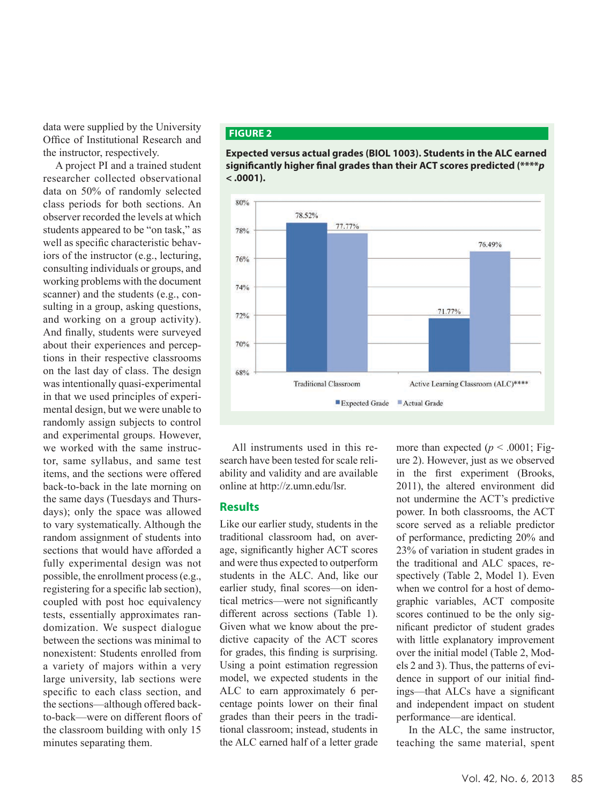data were supplied by the University Office of Institutional Research and the instructor, respectively.

A project PI and a trained student researcher collected observational data on 50% of randomly selected class periods for both sections. An observer recorded the levels at which students appeared to be "on task," as well as specific characteristic behaviors of the instructor (e.g., lecturing, consulting individuals or groups, and working problems with the document scanner) and the students (e.g., consulting in a group, asking questions, and working on a group activity). And finally, students were surveyed about their experiences and perceptions in their respective classrooms on the last day of class. The design was intentionally quasi-experimental in that we used principles of experimental design, but we were unable to randomly assign subjects to control and experimental groups. However, we worked with the same instructor, same syllabus, and same test items, and the sections were offered back-to-back in the late morning on the same days (Tuesdays and Thursdays); only the space was allowed to vary systematically. Although the random assignment of students into sections that would have afforded a fully experimental design was not possible, the enrollment process (e.g., registering for a specific lab section), coupled with post hoc equivalency tests, essentially approximates randomization. We suspect dialogue between the sections was minimal to nonexistent: Students enrolled from a variety of majors within a very large university, lab sections were specific to each class section, and the sections—although offered backto-back—were on different floors of the classroom building with only 15 minutes separating them.

#### **FIGURE 2**





All instruments used in this research have been tested for scale reliability and validity and are available online at http://z.umn.edu/lsr.

## **Results**

Like our earlier study, students in the traditional classroom had, on average, significantly higher ACT scores and were thus expected to outperform students in the ALC. And, like our earlier study, final scores—on identical metrics—were not significantly different across sections (Table 1). Given what we know about the predictive capacity of the ACT scores for grades, this finding is surprising. Using a point estimation regression model, we expected students in the ALC to earn approximately 6 percentage points lower on their final grades than their peers in the traditional classroom; instead, students in the ALC earned half of a letter grade

more than expected  $(p < .0001;$  Figure 2). However, just as we observed in the first experiment (Brooks, 2011), the altered environment did not undermine the ACT's predictive power. In both classrooms, the ACT score served as a reliable predictor of performance, predicting 20% and 23% of variation in student grades in the traditional and ALC spaces, respectively (Table 2, Model 1). Even when we control for a host of demographic variables, ACT composite scores continued to be the only significant predictor of student grades with little explanatory improvement over the initial model (Table 2, Models 2 and 3). Thus, the patterns of evidence in support of our initial findings—that ALCs have a significant and independent impact on student performance—are identical.

In the ALC, the same instructor, teaching the same material, spent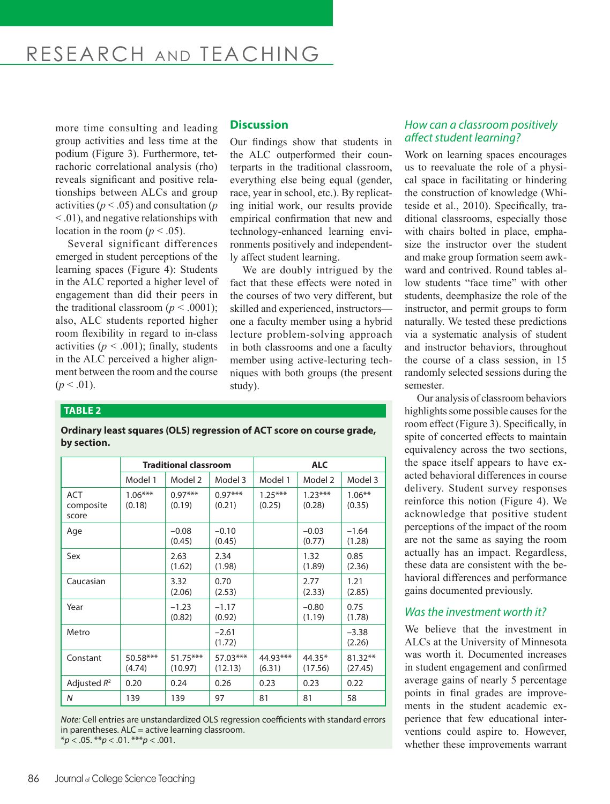# research and teaching

more time consulting and leading group activities and less time at the podium (Figure 3). Furthermore, tetrachoric correlational analysis (rho) reveals significant and positive relationships between ALCs and group activities (*p* < .05) and consultation (*p* < .01), and negative relationships with location in the room ( $p < .05$ ).

Several significant differences emerged in student perceptions of the learning spaces (Figure 4): Students in the ALC reported a higher level of engagement than did their peers in the traditional classroom ( $p < .0001$ ); also, ALC students reported higher room flexibility in regard to in-class activities ( $p < .001$ ); finally, students in the ALC perceived a higher alignment between the room and the course  $(p < .01)$ .

## **Discussion**

Our findings show that students in the ALC outperformed their counterparts in the traditional classroom, everything else being equal (gender, race, year in school, etc.). By replicating initial work, our results provide empirical confirmation that new and technology-enhanced learning environments positively and independently affect student learning.

We are doubly intrigued by the fact that these effects were noted in the courses of two very different, but skilled and experienced, instructors one a faculty member using a hybrid lecture problem-solving approach in both classrooms and one a faculty member using active-lecturing techniques with both groups (the present study).

#### **TABLE 2**

**Ordinary least squares (OLS) regression of ACT score on course grade, by section.**

|                                  | <b>Traditional classroom</b> |                       |                     | <b>ALC</b>          |                     |                      |  |  |  |  |
|----------------------------------|------------------------------|-----------------------|---------------------|---------------------|---------------------|----------------------|--|--|--|--|
|                                  | Model 1                      | Model 2               | Model 3             | Model 1             | Model 2             | Model 3              |  |  |  |  |
| <b>ACT</b><br>composite<br>score | $1.06***$<br>(0.18)          | $0.97***$<br>(0.19)   | $0.97***$<br>(0.21) | $1.25***$<br>(0.25) | $1.23***$<br>(0.28) | $1.06***$<br>(0.35)  |  |  |  |  |
| Age                              |                              | $-0.08$<br>(0.45)     | $-0.10$<br>(0.45)   |                     | $-0.03$<br>(0.77)   | $-1.64$<br>(1.28)    |  |  |  |  |
| Sex                              |                              | 2.63<br>(1.62)        | 2.34<br>(1.98)      |                     | 1.32<br>(1.89)      | 0.85<br>(2.36)       |  |  |  |  |
| Caucasian                        |                              | 3.32<br>(2.06)        | 0.70<br>(2.53)      |                     | 2.77<br>(2.33)      | 1.21<br>(2.85)       |  |  |  |  |
| Year                             |                              | $-1.23$<br>(0.82)     | $-1.17$<br>(0.92)   |                     | $-0.80$<br>(1.19)   | 0.75<br>(1.78)       |  |  |  |  |
| Metro                            |                              |                       | $-2.61$<br>(1.72)   |                     |                     | $-3.38$<br>(2.26)    |  |  |  |  |
| Constant                         | 50.58***<br>(4.74)           | $51.75***$<br>(10.97) | 57.03***<br>(12.13) | 44.93***<br>(6.31)  | $44.35*$<br>(17.56) | $81.32**$<br>(27.45) |  |  |  |  |
| Adjusted $R^2$                   | 0.20                         | 0.24                  | 0.26                | 0.23                | 0.23                | 0.22                 |  |  |  |  |
| N                                | 139                          | 139                   | 97                  | 81                  | 81                  | 58                   |  |  |  |  |

*Note:* Cell entries are unstandardized OLS regression coefficients with standard errors in parentheses. ALC = active learning classroom. \**p* < .05. \*\**p* < .01. \*\*\**p* < .001.

### *How can a classroom positively affect student learning?*

Work on learning spaces encourages us to reevaluate the role of a physical space in facilitating or hindering the construction of knowledge (Whiteside et al., 2010). Specifically, traditional classrooms, especially those with chairs bolted in place, emphasize the instructor over the student and make group formation seem awkward and contrived. Round tables allow students "face time" with other students, deemphasize the role of the instructor, and permit groups to form naturally. We tested these predictions via a systematic analysis of student and instructor behaviors, throughout the course of a class session, in 15 randomly selected sessions during the semester.

Our analysis of classroom behaviors highlights some possible causes for the room effect (Figure 3). Specifically, in spite of concerted effects to maintain equivalency across the two sections, the space itself appears to have exacted behavioral differences in course delivery. Student survey responses reinforce this notion (Figure 4). We acknowledge that positive student perceptions of the impact of the room are not the same as saying the room actually has an impact. Regardless, these data are consistent with the behavioral differences and performance gains documented previously.

# *Was the investment worth it?*

We believe that the investment in ALCs at the University of Minnesota was worth it. Documented increases in student engagement and confirmed average gains of nearly 5 percentage points in final grades are improvements in the student academic experience that few educational interventions could aspire to. However, whether these improvements warrant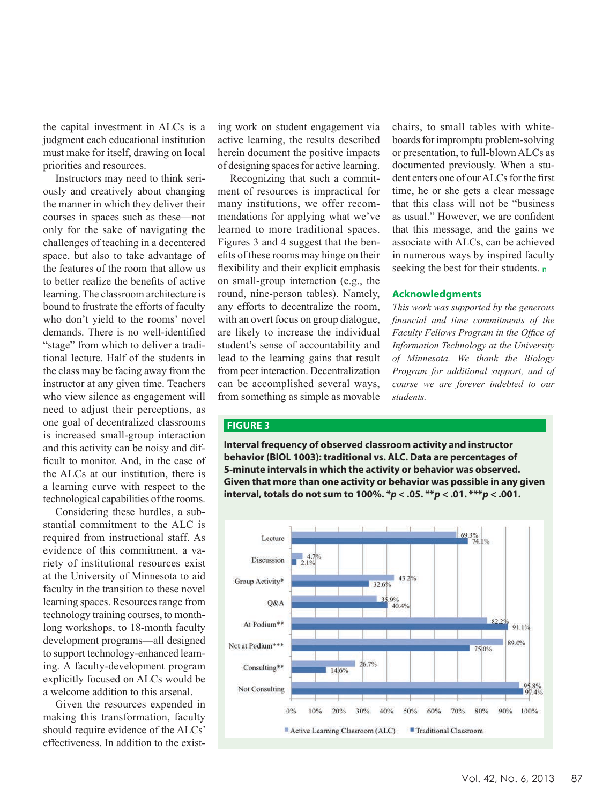the capital investment in ALCs is a judgment each educational institution must make for itself, drawing on local priorities and resources.

Instructors may need to think seriously and creatively about changing the manner in which they deliver their courses in spaces such as these—not only for the sake of navigating the challenges of teaching in a decentered space, but also to take advantage of the features of the room that allow us to better realize the benefits of active learning. The classroom architecture is bound to frustrate the efforts of faculty who don't yield to the rooms' novel demands. There is no well-identified "stage" from which to deliver a traditional lecture. Half of the students in the class may be facing away from the instructor at any given time. Teachers who view silence as engagement will need to adjust their perceptions, as one goal of decentralized classrooms is increased small-group interaction and this activity can be noisy and difficult to monitor. And, in the case of the ALCs at our institution, there is a learning curve with respect to the technological capabilities of the rooms.

Considering these hurdles, a substantial commitment to the ALC is required from instructional staff. As evidence of this commitment, a variety of institutional resources exist at the University of Minnesota to aid faculty in the transition to these novel learning spaces. Resources range from technology training courses, to monthlong workshops, to 18-month faculty development programs—all designed to support technology-enhanced learning. A faculty-development program explicitly focused on ALCs would be a welcome addition to this arsenal.

Given the resources expended in making this transformation, faculty should require evidence of the ALCs' effectiveness. In addition to the existing work on student engagement via active learning, the results described herein document the positive impacts of designing spaces for active learning.

Recognizing that such a commitment of resources is impractical for many institutions, we offer recommendations for applying what we've learned to more traditional spaces. Figures 3 and 4 suggest that the benefits of these rooms may hinge on their flexibility and their explicit emphasis on small-group interaction (e.g., the round, nine-person tables). Namely, any efforts to decentralize the room, with an overt focus on group dialogue, are likely to increase the individual student's sense of accountability and lead to the learning gains that result from peer interaction. Decentralization can be accomplished several ways, from something as simple as movable chairs, to small tables with whiteboards for impromptu problem-solving or presentation, to full-blown ALCs as documented previously. When a student enters one of our ALCs for the first time, he or she gets a clear message that this class will not be "business as usual." However, we are confident that this message, and the gains we associate with ALCs, can be achieved in numerous ways by inspired faculty seeking the best for their students. n

#### **Acknowledgments**

*This work was supported by the generous financial and time commitments of the Faculty Fellows Program in the Office of Information Technology at the University of Minnesota. We thank the Biology Program for additional support, and of course we are forever indebted to our students.*

#### **FIGURE 3**

**Interval frequency of observed classroom activity and instructor behavior (BIOL 1003): traditional vs. ALC. Data are percentages of 5-minute intervals in which the activity or behavior was observed. Given that more than one activity or behavior was possible in any given interval, totals do not sum to 100%. \****p* **< .05. \*\****p* **< .01. \*\*\****p* **< .001.**